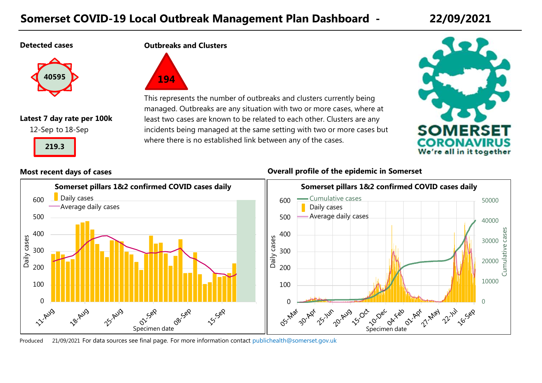# **Somerset COVID-19 Local Outbreak Management Plan Dashboard - 22/09/2021**

#### **Detected cases**



# **Latest 7 day rate per 100k**

12-Sep to 18-Sep



**Outbreaks and Clusters**



This represents the number of outbreaks and clusters currently being managed. Outbreaks are any situation with two or more cases, where at least two cases are known to be related to each other. Clusters are any incidents being managed at the same setting with two or more cases but where there is no established link between any of the cases.



#### **Most recent days of cases Overall profile of the epidemic in Somerset**



Produced For data sources see final page. 21/09/2021 [For more information contact](mailto:publichealth@somerset.gov.uk) publichealth@somerset.gov.uk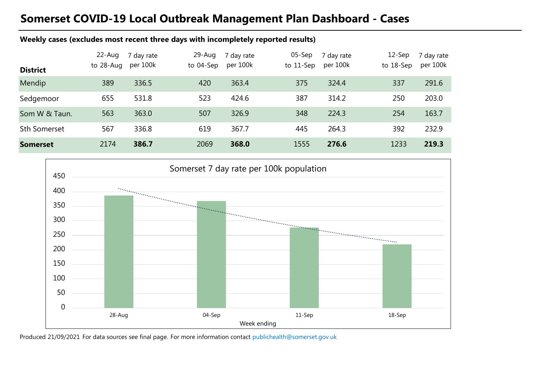# **Somerset COVID-19 Local Outbreak Management Plan Dashboard - Cases**

#### **Weekly cases (excludes most recent three days with incompletely reported results)**

| <b>District</b>     | 22-Aug<br>to 28-Aug | 7 day rate<br>per 100k | 29-Aug<br>to 04-Sep | 7 day rate<br>per 100k | $05-$ Sep<br>to $11$ -Sep | 7 day rate<br>per 100k | $12-$ Sep<br>to 18-Sep | 7 day rate<br>per 100k |
|---------------------|---------------------|------------------------|---------------------|------------------------|---------------------------|------------------------|------------------------|------------------------|
| Mendip              | 389                 | 336.5                  | 420                 | 363.4                  | 375                       | 324.4                  | 337                    | 291.6                  |
| Sedgemoor           | 655                 | 531.8                  | 523                 | 424.6                  | 387                       | 314.2                  | 250                    | 203.0                  |
| Som W & Taun.       | 563                 | 363.0                  | 507                 | 326.9                  | 348                       | 224.3                  | 254                    | 163.7                  |
| <b>Sth Somerset</b> | 567                 | 336.8                  | 619                 | 367.7                  | 445                       | 264.3                  | 392                    | 232.9                  |
| <b>Somerset</b>     | 2174                | 386.7                  | 2069                | 368.0                  | 1555                      | 276.6                  | 1233                   | 219.3                  |



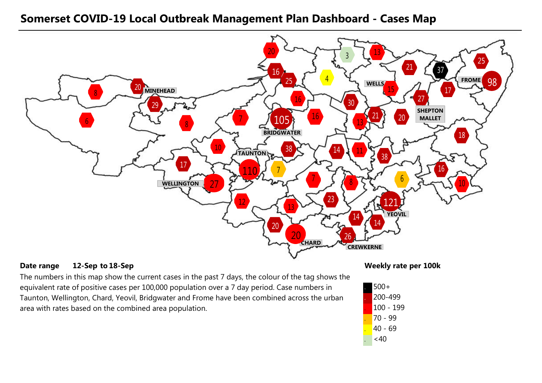### **Somerset COVID-19 Local Outbreak Management Plan Dashboard - Cases Map**



#### **Date range** 12-Sep to 18-Sep 100 and 100 and 100 km and 100 km and 100 km and 100 km and 100 km and 100 km and 100 km and 100 km and 100 km and 100 km and 100 km and 100 km and 100 km and 100 km and 100 km and 100 km and **12-Sep 18-Sep**

The numbers in this map show the current cases in the past 7 days, the colour of the tag shows the equivalent rate of positive cases per 100,000 population over a 7 day period. Case numbers in Taunton, Wellington, Chard, Yeovil, Bridgwater and Frome have been combined across the urban area with rates based on the combined area population.

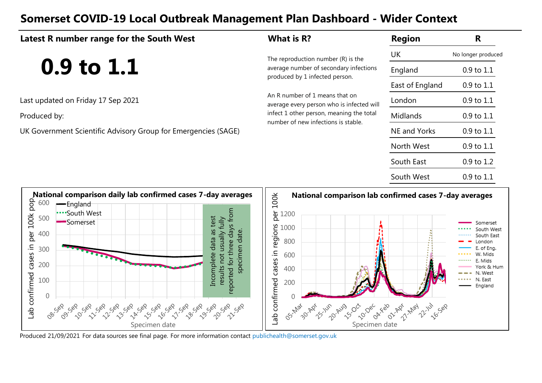# **Somerset COVID-19 Local Outbreak Management Plan Dashboard - Wider Context**

#### **Latest R number range for the South West What is R? Region** UK England East of England Last updated on Friday 17 Sep 2021 London Produced by: Midlands and Midlands and Midlands of the total meaning the total Midlands UK Government Scientific Advisory Group for Emergencies (SAGE) NE and Yorks North West South East South West No longer produced An R number of 1 means that on average every person who is infected will number of new infections is stable. **R** The reproduction number (R) is the<br>average number of secondary infect average number of secondary infections produced by 1 infected person. 0.9 to 1.1 0.9 to 1.1 0.9 to 1.1 0.9 to 1.1 0.9 to 1.1 0.9 to 1.1 0.9 to 1.2 0.9 to 1.1 **National comparison lab confirmed cases 7-day averages** 600 England



Produced 21/09/2021 For data sources see final page. [For more information contact](mailto:publichealth@somerset.gov.uk) publichealth@somerset.gov.uk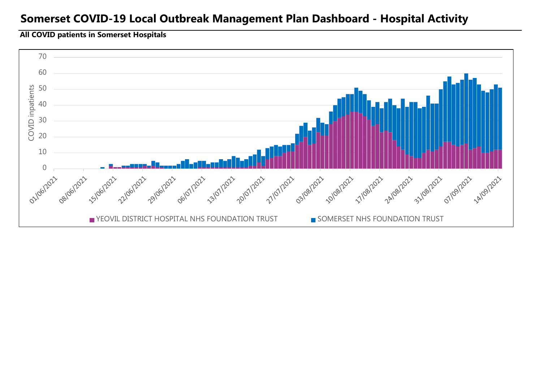## **Somerset COVID-19 Local Outbreak Management Plan Dashboard - Hospital Activity**

#### **All COVID patients in Somerset Hospitals**

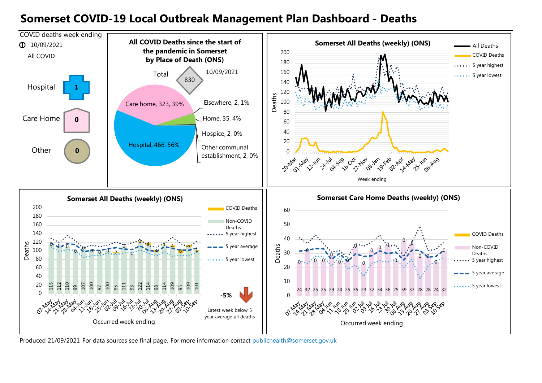## **Somerset COVID-19 Local Outbreak Management Plan Dashboard - Deaths**



Produced 21/09/2021 For data sources see final page. [For more information contact](mailto:publichealth@somerset.gov.uk) publichealth@somerset.gov.uk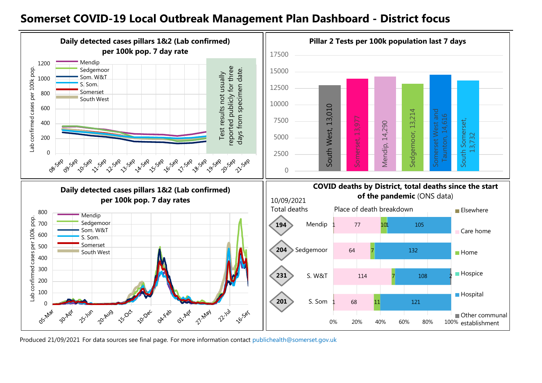### **Somerset COVID-19 Local Outbreak Management Plan Dashboard - District focus**



Produced 21/09/2021 For data sources see final page. [For more information contact](mailto:publichealth@somerset.gov.uk) publichealth@somerset.gov.uk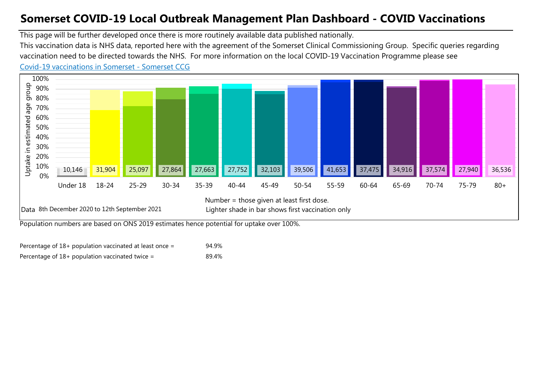# **Somerset COVID-19 Local Outbreak Management Plan Dashboard - COVID Vaccinations**

This page will be further developed once there is more routinely available data published nationally.

This vaccination data is NHS data, reported here with the agreement of the Somerset Clinical Commissioning Group. Specific queries regarding vaccination need to be directed towards the NHS. For more information on the local COVID-19 Vaccination Programme please see

#### [Co](https://www.somersetccg.nhs.uk/health/local-services/health-services-during-coronavirus/covid-19-vaccinations-in-somerset/)vid-19 vaccinations in Somerset - Somerset CCG



Population numbers are based on ONS 2019 estimates hence potential for uptake over 100%.

| Percentage of $18+$ population vaccinated at least once = | 94.9% |
|-----------------------------------------------------------|-------|
| Percentage of $18+$ population vaccinated twice =         | 89.4% |